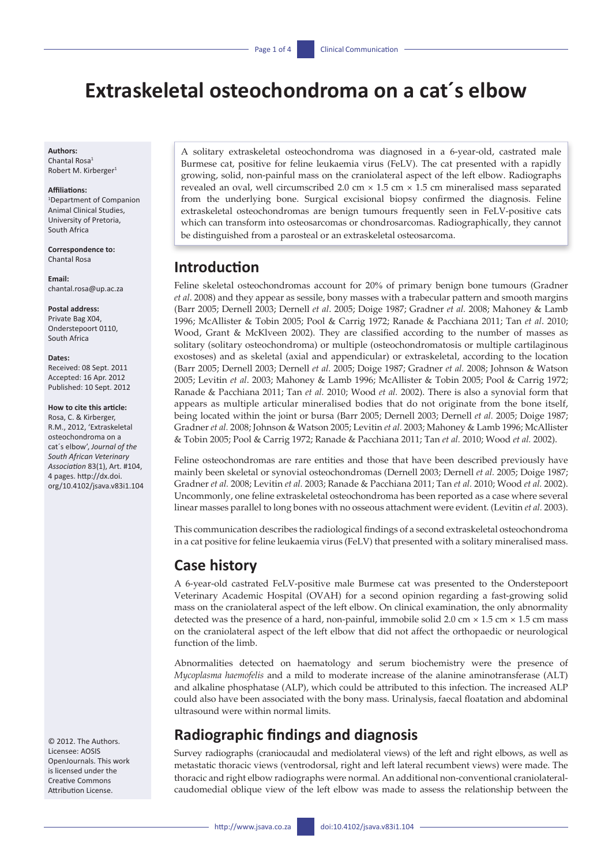# **Extraskeletal osteochondroma on a cat´s elbow**

#### **Authors:**

Chantal Rosa1 Robert M. Kirberger

#### **Affiliations:**

1 Department of Companion Animal Clinical Studies, University of Pretoria, South Africa

**Correspondence to:** Chantal Rosa

**Email:**  [chantal.rosa@up.ac.za](mailto:chantal.rosa@up.ac.za)

**Postal address:** Private Bag X04,

Onderstepoort 0110, South Africa

#### **Dates:**

Received: 08 Sept. 2011 Accepted: 16 Apr. 2012 Published: 10 Sept. 2012

**How to cite this article:** Rosa, C. & Kirberger, R.M., 2012, 'Extraskeletal osteochondroma on a cat´s elbow', *Journal of the South African Veterinary Association* 83(1), Art. #104, 4 pages. [http://dx.doi.](http://dx.doi.org/10.4102/jsava.v83i1.104)

[org/10.4102/jsava.v83i1.104](http://dx.doi.org/10.4102/jsava.v83i1.104)

© 2012. The Authors. Licensee: AOSIS OpenJournals. This work is licensed under the Creative Commons Attribution License.

A solitary extraskeletal osteochondroma was diagnosed in a 6-year-old, castrated male Burmese cat, positive for feline leukaemia virus (FeLV). The cat presented with a rapidly growing, solid, non-painful mass on the craniolateral aspect of the left elbow. Radiographs revealed an oval, well circumscribed 2.0 cm  $\times$  1.5 cm  $\times$  1.5 cm mineralised mass separated from the underlying bone. Surgical excisional biopsy confirmed the diagnosis. Feline extraskeletal osteochondromas are benign tumours frequently seen in FeLV-positive cats which can transform into osteosarcomas or chondrosarcomas. Radiographically, they cannot be distinguished from a parosteal or an extraskeletal osteosarcoma.

### **Introduction**

Feline skeletal osteochondromas account for 20% of primary benign bone tumours (Gradner *et al*. 2008) and they appear as sessile, bony masses with a trabecular pattern and smooth margins (Barr 2005; Dernell 2003; Dernell *et al*. 2005; Doige 1987; Gradner *et al.* 2008; Mahoney & Lamb 1996; McAllister & Tobin 2005; Pool & Carrig 1972; Ranade & Pacchiana 2011; Tan *et al*. 2010; Wood, Grant & McKlveen 2002). They are classified according to the number of masses as solitary (solitary osteochondroma) or multiple (osteochondromatosis or multiple cartilaginous exostoses) and as skeletal (axial and appendicular) or extraskeletal, according to the location (Barr 2005; Dernell 2003; Dernell *et al.* 2005; Doige 1987; Gradner *et al.* 2008; Johnson & Watson 2005; Levitin *et al*. 2003; Mahoney & Lamb 1996; McAllister & Tobin 2005; Pool & Carrig 1972; Ranade & Pacchiana 2011; Tan *et al.* 2010; Wood *et al.* 2002). There is also a synovial form that appears as multiple articular mineralised bodies that do not originate from the bone itself, being located within the joint or bursa (Barr 2005; Dernell 2003; Dernell *et al.* 2005; Doige 1987; Gradner *et al.* 2008; Johnson & Watson 2005; Levitin *et al.* 2003; Mahoney & Lamb 1996; McAllister & Tobin 2005; Pool & Carrig 1972; Ranade & Pacchiana 2011; Tan *et al.* 2010; Wood *et al.* 2002).

Feline osteochondromas are rare entities and those that have been described previously have mainly been skeletal or synovial osteochondromas (Dernell 2003; Dernell *et al.* 2005; Doige 1987; Gradner *et al.* 2008; Levitin *et al.* 2003; Ranade & Pacchiana 2011; Tan *et al.* 2010; Wood *et al.* 2002). Uncommonly, one feline extraskeletal osteochondroma has been reported as a case where several linear masses parallel to long bones with no osseous attachment were evident. (Levitin *et al.* 2003).

This communication describes the radiological findings of a second extraskeletal osteochondroma in a cat positive for feline leukaemia virus (FeLV) that presented with a solitary mineralised mass.

### **Case history**

A 6-year-old castrated FeLV-positive male Burmese cat was presented to the Onderstepoort Veterinary Academic Hospital (OVAH) for a second opinion regarding a fast-growing solid mass on the craniolateral aspect of the left elbow. On clinical examination, the only abnormality detected was the presence of a hard, non-painful, immobile solid 2.0 cm  $\times$  1.5 cm  $\times$  1.5 cm mass on the craniolateral aspect of the left elbow that did not affect the orthopaedic or neurological function of the limb.

Abnormalities detected on haematology and serum biochemistry were the presence of *Mycoplasma haemofelis* and a mild to moderate increase of the alanine aminotransferase (ALT) and alkaline phosphatase (ALP), which could be attributed to this infection. The increased ALP could also have been associated with the bony mass. Urinalysis, faecal floatation and abdominal ultrasound were within normal limits.

# **Radiographic findings and diagnosis**

Survey radiographs (craniocaudal and mediolateral views) of the left and right elbows, as well as metastatic thoracic views (ventrodorsal, right and left lateral recumbent views) were made. The thoracic and right elbow radiographs were normal. An additional non-conventional craniolateralcaudomedial oblique view of the left elbow was made to assess the relationship between the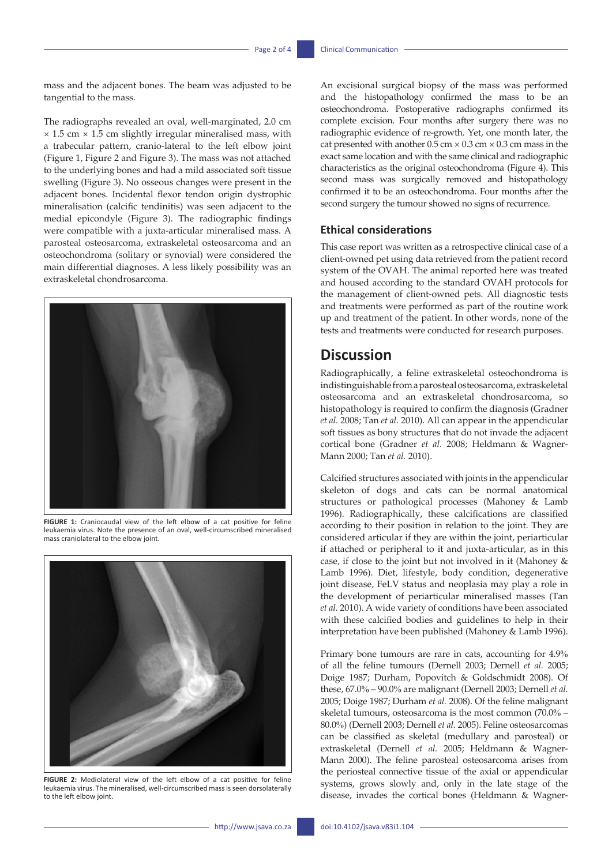mass and the adjacent bones. The beam was adjusted to be tangential to the mass.

The radiographs revealed an oval, well-marginated, 2.0 cm  $\times$  1.5 cm  $\times$  1.5 cm slightly irregular mineralised mass, with a trabecular pattern, cranio-lateral to the left elbow joint (Figure 1, Figure 2 and Figure 3). The mass was not attached to the underlying bones and had a mild associated soft tissue swelling (Figure 3). No osseous changes were present in the adjacent bones. Incidental flexor tendon origin dystrophic mineralisation (calcific tendinitis) was seen adjacent to the medial epicondyle (Figure 3). The radiographic findings were compatible with a juxta-articular mineralised mass. A parosteal osteosarcoma, extraskeletal osteosarcoma and an osteochondroma (solitary or synovial) were considered the main differential diagnoses. A less likely possibility was an extraskeletal chondrosarcoma.



**FIGURE 1:** Craniocaudal view of the left elbow of a cat positive for feline leukaemia virus. Note the presence of an oval, well-circumscribed mineralised mass craniolateral to the elbow joint.



**FIGURE 2:** Mediolateral view of the left elbow of a cat positive for feline leukaemia virus. The mineralised, well-circumscribed mass is seen dorsolaterally to the left elbow joint.

An excisional surgical biopsy of the mass was performed and the histopathology confirmed the mass to be an osteochondroma. Postoperative radiographs confirmed its complete excision. Four months after surgery there was no radiographic evidence of re-growth. Yet, one month later, the cat presented with another  $0.5 \text{ cm} \times 0.3 \text{ cm} \times 0.3 \text{ cm}$  mass in the exact same location and with the same clinical and radiographic characteristics as the original osteochondroma (Figure 4). This second mass was surgically removed and histopathology confirmed it to be an osteochondroma. Four months after the second surgery the tumour showed no signs of recurrence.

### **Ethical considerations**

This case report was written as a retrospective clinical case of a client-owned pet using data retrieved from the patient record system of the OVAH. The animal reported here was treated and housed according to the standard OVAH protocols for the management of client-owned pets. All diagnostic tests and treatments were performed as part of the routine work up and treatment of the patient. In other words, none of the tests and treatments were conducted for research purposes.

### **Discussion**

Radiographically, a feline extraskeletal osteochondroma is indistinguishable from a parosteal osteosarcoma, extraskeletal osteosarcoma and an extraskeletal chondrosarcoma, so histopathology is required to confirm the diagnosis (Gradner *et al.* 2008; Tan *et al.* 2010). All can appear in the appendicular soft tissues as bony structures that do not invade the adjacent cortical bone (Gradner *et al.* 2008; Heldmann & Wagner-Mann 2000; Tan *et al.* 2010).

Calcified structures associated with joints in the appendicular skeleton of dogs and cats can be normal anatomical structures or pathological processes (Mahoney & Lamb 1996). Radiographically, these calcifications are classified according to their position in relation to the joint. They are considered articular if they are within the joint, periarticular if attached or peripheral to it and juxta-articular, as in this case, if close to the joint but not involved in it (Mahoney & Lamb 1996). Diet, lifestyle, body condition, degenerative joint disease, FeLV status and neoplasia may play a role in the development of periarticular mineralised masses (Tan *et al.* 2010). A wide variety of conditions have been associated with these calcified bodies and guidelines to help in their interpretation have been published (Mahoney & Lamb 1996).

Primary bone tumours are rare in cats, accounting for 4.9% of all the feline tumours (Dernell 2003; Dernell *et al.* 2005; Doige 1987; Durham, Popovitch & Goldschmidt 2008). Of these, 67.0% – 90.0% are malignant (Dernell 2003; Dernell *et al.* 2005; Doige 1987; Durham *et al.* 2008). Of the feline malignant skeletal tumours, osteosarcoma is the most common (70.0% – 80.0%) (Dernell 2003; Dernell *et al.* 2005). Feline osteosarcomas can be classified as skeletal (medullary and parosteal) or extraskeletal (Dernell *et al.* 2005; Heldmann & Wagner-Mann 2000). The feline parosteal osteosarcoma arises from the periosteal connective tissue of the axial or appendicular systems, grows slowly and, only in the late stage of the disease, invades the cortical bones (Heldmann & Wagner-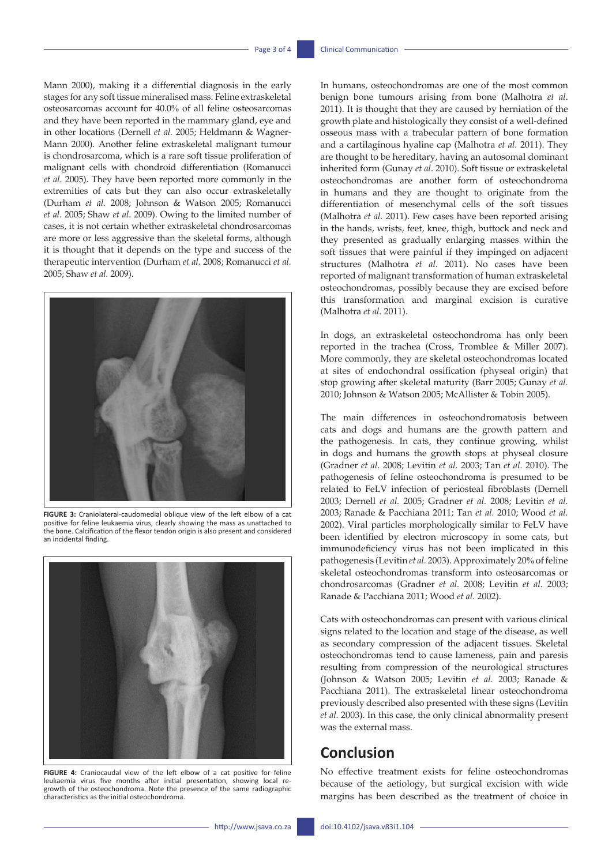Mann 2000), making it a differential diagnosis in the early stages for any soft tissue mineralised mass. Feline extraskeletal osteosarcomas account for 40.0% of all feline osteosarcomas and they have been reported in the mammary gland, eye and in other locations (Dernell *et al.* 2005; Heldmann & Wagner-Mann 2000). Another feline extraskeletal malignant tumour is chondrosarcoma, which is a rare soft tissue proliferation of malignant cells with chondroid differentiation (Romanucci *et al*. 2005). They have been reported more commonly in the extremities of cats but they can also occur extraskeletally (Durham *et al.* 2008; Johnson & Watson 2005; Romanucci *et al.* 2005; Shaw *et al*. 2009). Owing to the limited number of cases, it is not certain whether extraskeletal chondrosarcomas are more or less aggressive than the skeletal forms, although it is thought that it depends on the type and success of the therapeutic intervention (Durham *et al.* 2008; Romanucci *et al.* 2005; Shaw *et al.* 2009).



**FIGURE 3:** Craniolateral-caudomedial oblique view of the left elbow of a cat positive for feline leukaemia virus, clearly showing the mass as unattached to the bone. Calcification of the flexor tendon origin is also present and considered an incidental finding.



**FIGURE 4:** Craniocaudal view of the left elbow of a cat positive for feline leukaemia virus five months after initial presentation, showing local regrowth of the osteochondroma. Note the presence of the same radiographic characteristics as the initial osteochondroma.

In humans, osteochondromas are one of the most common benign bone tumours arising from bone (Malhotra *et al*. 2011). It is thought that they are caused by herniation of the growth plate and histologically they consist of a well-defined osseous mass with a trabecular pattern of bone formation and a cartilaginous hyaline cap (Malhotra *et al.* 2011). They are thought to be hereditary, having an autosomal dominant inherited form (Gunay *et al*. 2010). Soft tissue or extraskeletal osteochondromas are another form of osteochondroma in humans and they are thought to originate from the differentiation of mesenchymal cells of the soft tissues (Malhotra *et al.* 2011). Few cases have been reported arising in the hands, wrists, feet, knee, thigh, buttock and neck and they presented as gradually enlarging masses within the soft tissues that were painful if they impinged on adjacent structures (Malhotra *et al.* 2011). No cases have been reported of malignant transformation of human extraskeletal osteochondromas, possibly because they are excised before this transformation and marginal excision is curative (Malhotra *et al.* 2011).

In dogs, an extraskeletal osteochondroma has only been reported in the trachea (Cross, Tromblee & Miller 2007). More commonly, they are skeletal osteochondromas located at sites of endochondral ossification (physeal origin) that stop growing after skeletal maturity (Barr 2005; Gunay *et al.* 2010; Johnson & Watson 2005; McAllister & Tobin 2005).

The main differences in osteochondromatosis between cats and dogs and humans are the growth pattern and the pathogenesis. In cats, they continue growing, whilst in dogs and humans the growth stops at physeal closure (Gradner *et al.* 2008; Levitin *et al.* 2003; Tan *et al.* 2010). The pathogenesis of feline osteochondroma is presumed to be related to FeLV infection of periosteal fibroblasts (Dernell 2003; Dernell *et al.* 2005; Gradner *et al.* 2008; Levitin *et al.* 2003; Ranade & Pacchiana 2011; Tan *et al.* 2010; Wood *et al.* 2002). Viral particles morphologically similar to FeLV have been identified by electron microscopy in some cats, but immunodeficiency virus has not been implicated in this pathogenesis (Levitin *et al.* 2003). Approximately 20% of feline skeletal osteochondromas transform into osteosarcomas or chondrosarcomas (Gradner *et al.* 2008; Levitin *et al.* 2003; Ranade & Pacchiana 2011; Wood *et al.* 2002).

Cats with osteochondromas can present with various clinical signs related to the location and stage of the disease, as well as secondary compression of the adjacent tissues. Skeletal osteochondromas tend to cause lameness, pain and paresis resulting from compression of the neurological structures (Johnson & Watson 2005; Levitin *et al.* 2003; Ranade & Pacchiana 2011). The extraskeletal linear osteochondroma previously described also presented with these signs (Levitin *et al.* 2003). In this case, the only clinical abnormality present was the external mass.

### **Conclusion**

No effective treatment exists for feline osteochondromas because of the aetiology, but surgical excision with wide margins has been described as the treatment of choice in